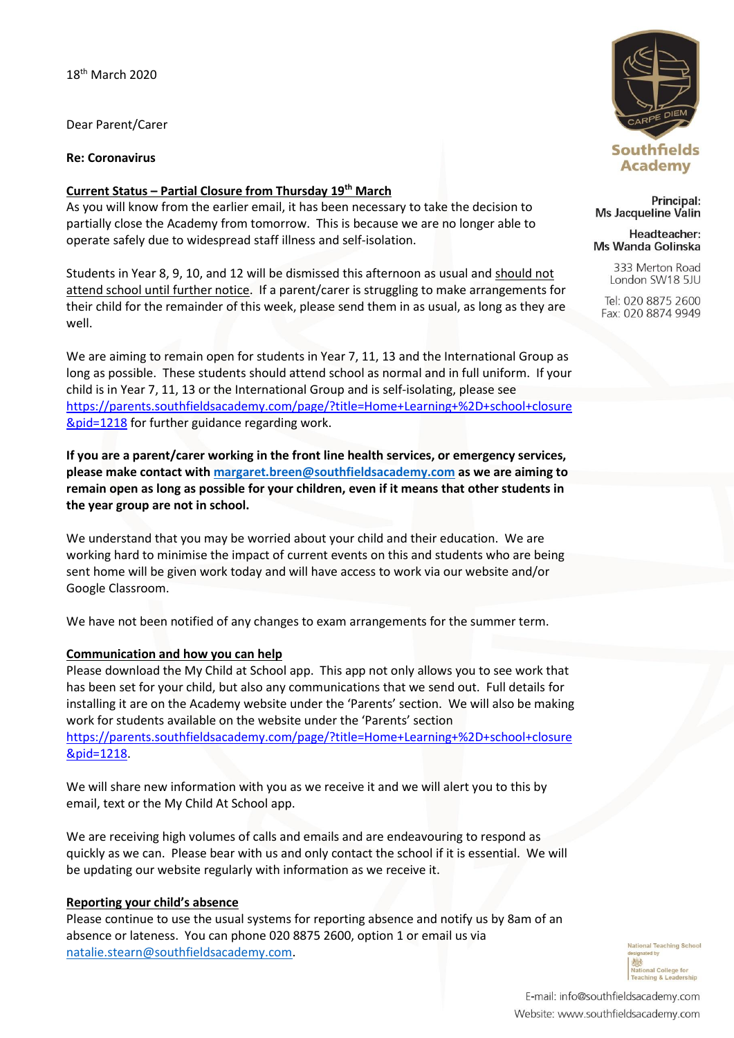Dear Parent/Carer

**Re: Coronavirus**

### **Current Status – Partial Closure from Thursday 19th March**

As you will know from the earlier email, it has been necessary to take the decision to partially close the Academy from tomorrow. This is because we are no longer able to operate safely due to widespread staff illness and self-isolation.

Students in Year 8, 9, 10, and 12 will be dismissed this afternoon as usual and should not attend school until further notice. If a parent/carer is struggling to make arrangements for their child for the remainder of this week, please send them in as usual, as long as they are well.

We are aiming to remain open for students in Year 7, 11, 13 and the International Group as long as possible. These students should attend school as normal and in full uniform. If your child is in Year 7, 11, 13 or the International Group and is self-isolating, please see [https://parents.southfieldsacademy.com/page/?title=Home+Learning+%2D+school+closure](https://parents.southfieldsacademy.com/page/?title=Home+Learning+%2D+school+closure&pid=1218) [&pid=1218](https://parents.southfieldsacademy.com/page/?title=Home+Learning+%2D+school+closure&pid=1218) for further guidance regarding work.

**If you are a parent/carer working in the front line health services, or emergency services, please make contact with [margaret.breen@southfieldsacademy.com](mailto:margaret.breen@southfieldsacademy.com) as we are aiming to remain open as long as possible for your children, even if it means that other students in the year group are not in school.**

We understand that you may be worried about your child and their education. We are working hard to minimise the impact of current events on this and students who are being sent home will be given work today and will have access to work via our website and/or Google Classroom.

We have not been notified of any changes to exam arrangements for the summer term.

## **Communication and how you can help**

Please download the My Child at School app. This app not only allows you to see work that has been set for your child, but also any communications that we send out. Full details for installing it are on the Academy website under the 'Parents' section. We will also be making work for students available on the website under the 'Parents' section [https://parents.southfieldsacademy.com/page/?title=Home+Learning+%2D+school+closure](https://parents.southfieldsacademy.com/page/?title=Home+Learning+%2D+school+closure&pid=1218) [&pid=1218.](https://parents.southfieldsacademy.com/page/?title=Home+Learning+%2D+school+closure&pid=1218)

We will share new information with you as we receive it and we will alert you to this by email, text or the My Child At School app.

We are receiving high volumes of calls and emails and are endeavouring to respond as quickly as we can. Please bear with us and only contact the school if it is essential. We will be updating our website regularly with information as we receive it.

#### **Reporting your child's absence**

Please continue to use the usual systems for reporting absence and notify us by 8am of an absence or lateness. You can phone 020 8875 2600, option 1 or email us via [natalie.stearn@southfieldsacademy.com.](mailto:natalie.stearn@southfieldsacademy.com)



Principal: Ms Jacqueline Valin

Headteacher: Ms Wanda Golinska

> 333 Merton Road London SW18 5JU

Tel: 020 8875 2600 Fax: 020 8874 9949

> **National Teaching School** 戀 **National College for** Teaching & Leadership